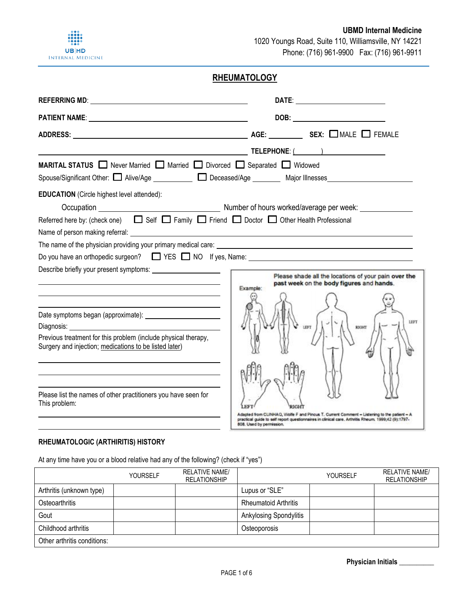

# **RHEUMATOLOGY**

|                                                                                                                                                                                                                                | <u>TELEPHONE: ( TELEPHONE: ( ) Production ( ) and ( ) and ( ) and ( ) and ( ) and ( ) and ( ) and ( ) is given by <math>\overline{\phantom{a}}</math></u>                                                                    |
|--------------------------------------------------------------------------------------------------------------------------------------------------------------------------------------------------------------------------------|------------------------------------------------------------------------------------------------------------------------------------------------------------------------------------------------------------------------------|
| MARITAL STATUS <b>D</b> Never Married <b>D</b> Married <b>D</b> Divorced <b>D</b> Separated <b>D</b> Widowed                                                                                                                   |                                                                                                                                                                                                                              |
|                                                                                                                                                                                                                                |                                                                                                                                                                                                                              |
| <b>EDUCATION</b> (Circle highest level attended):                                                                                                                                                                              |                                                                                                                                                                                                                              |
|                                                                                                                                                                                                                                |                                                                                                                                                                                                                              |
| Referred here by: (check one) $\Box$ Self $\Box$ Family $\Box$ Friend $\Box$ Doctor $\Box$ Other Health Professional                                                                                                           |                                                                                                                                                                                                                              |
| Name of person making referral: example and the set of the set of the set of the set of the set of the set of the set of the set of the set of the set of the set of the set of the set of the set of the set of the set of th |                                                                                                                                                                                                                              |
|                                                                                                                                                                                                                                |                                                                                                                                                                                                                              |
|                                                                                                                                                                                                                                |                                                                                                                                                                                                                              |
|                                                                                                                                                                                                                                | Please shade all the locations of your pain over the<br>past week on the body figures and hands.                                                                                                                             |
|                                                                                                                                                                                                                                | Example:                                                                                                                                                                                                                     |
|                                                                                                                                                                                                                                |                                                                                                                                                                                                                              |
|                                                                                                                                                                                                                                | LEFT                                                                                                                                                                                                                         |
| Diagnosis: <u>www.community.community.community.com</u>                                                                                                                                                                        | RIGHT<br>LEFT                                                                                                                                                                                                                |
| Previous treatment for this problem (include physical therapy,<br>Surgery and injection; medications to be listed later)                                                                                                       |                                                                                                                                                                                                                              |
|                                                                                                                                                                                                                                |                                                                                                                                                                                                                              |
|                                                                                                                                                                                                                                |                                                                                                                                                                                                                              |
|                                                                                                                                                                                                                                |                                                                                                                                                                                                                              |
| Please list the names of other practitioners you have seen for                                                                                                                                                                 |                                                                                                                                                                                                                              |
| This problem:                                                                                                                                                                                                                  |                                                                                                                                                                                                                              |
|                                                                                                                                                                                                                                | Adapted from CLINHAQ, Wolfe F and Pincus T. Current Comment - Listening to the patient - A<br>practical guide to self report questionnaires in clinical care. Arthritis Rheum. 1999;42 (9):1797-<br>808. Used by permission. |

### **RHEUMATOLOGIC (ARTHIRITIS) HISTORY**

At any time have you or a blood relative had any of the following? (check if "yes")

|                             | <b>YOURSELF</b> | <b>RELATIVE NAME/</b><br><b>RELATIONSHIP</b> |                               | <b>YOURSELF</b> | <b>RELATIVE NAME/</b><br><b>RELATIONSHIP</b> |
|-----------------------------|-----------------|----------------------------------------------|-------------------------------|-----------------|----------------------------------------------|
| Arthritis (unknown type)    |                 |                                              | Lupus or "SLE"                |                 |                                              |
| Osteoarthritis              |                 |                                              | <b>Rheumatoid Arthritis</b>   |                 |                                              |
| Gout                        |                 |                                              | <b>Ankylosing Spondylitis</b> |                 |                                              |
| Childhood arthritis         |                 |                                              | Osteoporosis                  |                 |                                              |
| Other arthritis conditions: |                 |                                              |                               |                 |                                              |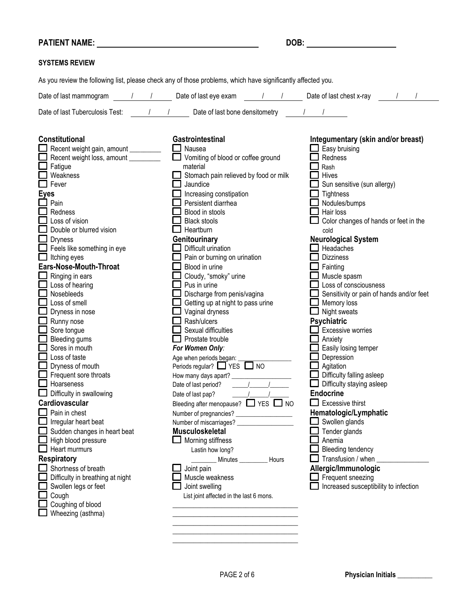| <b>PATIENT NAME:</b>                                                                                                                                                                                                                                                                                                                                                                                                                                                                                                                                                                                                                                                                                                                                                                                                                                                                                                                                                                                                                                                                     | DOB:                                                                                                                                                                                                                                                                                                                                                                                                                                                                                                                                                                                                                                                                                                                                                                                                                                                                                                                                                                                                                                                                                                                                                                                                                        |                                                                                                                                                                                                                                                                                                                                                                                                                                                                                                                                                                                                                                                                                                                                                                                                                                                                                   |
|------------------------------------------------------------------------------------------------------------------------------------------------------------------------------------------------------------------------------------------------------------------------------------------------------------------------------------------------------------------------------------------------------------------------------------------------------------------------------------------------------------------------------------------------------------------------------------------------------------------------------------------------------------------------------------------------------------------------------------------------------------------------------------------------------------------------------------------------------------------------------------------------------------------------------------------------------------------------------------------------------------------------------------------------------------------------------------------|-----------------------------------------------------------------------------------------------------------------------------------------------------------------------------------------------------------------------------------------------------------------------------------------------------------------------------------------------------------------------------------------------------------------------------------------------------------------------------------------------------------------------------------------------------------------------------------------------------------------------------------------------------------------------------------------------------------------------------------------------------------------------------------------------------------------------------------------------------------------------------------------------------------------------------------------------------------------------------------------------------------------------------------------------------------------------------------------------------------------------------------------------------------------------------------------------------------------------------|-----------------------------------------------------------------------------------------------------------------------------------------------------------------------------------------------------------------------------------------------------------------------------------------------------------------------------------------------------------------------------------------------------------------------------------------------------------------------------------------------------------------------------------------------------------------------------------------------------------------------------------------------------------------------------------------------------------------------------------------------------------------------------------------------------------------------------------------------------------------------------------|
| <b>SYSTEMS REVIEW</b>                                                                                                                                                                                                                                                                                                                                                                                                                                                                                                                                                                                                                                                                                                                                                                                                                                                                                                                                                                                                                                                                    |                                                                                                                                                                                                                                                                                                                                                                                                                                                                                                                                                                                                                                                                                                                                                                                                                                                                                                                                                                                                                                                                                                                                                                                                                             |                                                                                                                                                                                                                                                                                                                                                                                                                                                                                                                                                                                                                                                                                                                                                                                                                                                                                   |
|                                                                                                                                                                                                                                                                                                                                                                                                                                                                                                                                                                                                                                                                                                                                                                                                                                                                                                                                                                                                                                                                                          | As you review the following list, please check any of those problems, which have significantly affected you.                                                                                                                                                                                                                                                                                                                                                                                                                                                                                                                                                                                                                                                                                                                                                                                                                                                                                                                                                                                                                                                                                                                |                                                                                                                                                                                                                                                                                                                                                                                                                                                                                                                                                                                                                                                                                                                                                                                                                                                                                   |
|                                                                                                                                                                                                                                                                                                                                                                                                                                                                                                                                                                                                                                                                                                                                                                                                                                                                                                                                                                                                                                                                                          |                                                                                                                                                                                                                                                                                                                                                                                                                                                                                                                                                                                                                                                                                                                                                                                                                                                                                                                                                                                                                                                                                                                                                                                                                             |                                                                                                                                                                                                                                                                                                                                                                                                                                                                                                                                                                                                                                                                                                                                                                                                                                                                                   |
|                                                                                                                                                                                                                                                                                                                                                                                                                                                                                                                                                                                                                                                                                                                                                                                                                                                                                                                                                                                                                                                                                          | Date of last Tuberculosis Test: / / / Date of last bone densitometry                                                                                                                                                                                                                                                                                                                                                                                                                                                                                                                                                                                                                                                                                                                                                                                                                                                                                                                                                                                                                                                                                                                                                        |                                                                                                                                                                                                                                                                                                                                                                                                                                                                                                                                                                                                                                                                                                                                                                                                                                                                                   |
| <b>Constitutional</b><br>Recent weight gain, amount _________<br>Recent weight loss, amount ________<br>$\Box$ Fatigue<br>$\Box$ Weakness<br>$\Box$ Fever<br><b>Eyes</b><br>$\Box$ Pain<br>Redness<br>$\Box$ Loss of vision<br>Double or blurred vision<br>$\Box$ Dryness<br>Feels like something in eye<br>$\Box$ Itching eyes<br>Ears-Nose-Mouth-Throat<br>$\Box$ Ringing in ears<br>$\overline{\Box}$ Loss of hearing<br>$\Box$ Nosebleeds<br>$\Box$ Loss of smell<br>$\Box$ Dryness in nose<br>$\Box$ Runny nose<br>Sore tongue<br><b>Bleeding gums</b><br>Sores in mouth<br>$\Box$ Loss of taste<br>$\Box$ Dryness of mouth<br>$\Box$ Frequent sore throats<br><b>L</b> Hoarseness<br>$\Box$ Difficulty in swallowing<br>Cardiovascular<br>$\Box$ Pain in chest<br>$\Box$ Irregular heart beat<br>$\Box$ Sudden changes in heart beat<br>$\Box$ High blood pressure<br>$\Box$ Heart murmurs<br><b>Respiratory</b><br>$\Box$ Shortness of breath<br>Difficulty in breathing at night<br>Swollen legs or feet<br>$\Box$ Cough<br>$\Box$ Coughing of blood<br>$\Box$ Wheezing (asthma) | Gastrointestinal<br>$\Box$ Nausea<br>Vomiting of blood or coffee ground<br>material<br>Stomach pain relieved by food or milk<br>Jaundice<br>Increasing constipation<br>Persistent diarrhea<br>Blood in stools<br><b>Black stools</b><br>$\Box$ Heartburn<br>Genitourinary<br>Difficult urination<br>Pain or burning on urination<br>Blood in urine<br>Cloudy, "smoky" urine<br>Pus in urine<br>$\Box$ Discharge from penis/vagina<br>$\Box$ Getting up at night to pass urine<br>$\Box$ Vaginal dryness<br>$\Box$ Rash/ulcers<br>Sexual difficulties<br>$\Box$ Prostate trouble<br>For Women Only:<br>Age when periods began: _<br>Periods regular? $\Box$ YES $\Box$ NO<br>Date of last period?<br>Date of last pap?<br>Bleeding after menopause? TVES NO<br>Number of pregnancies?<br><u>[</u> [11] Mumber of pregnancies?<br><u>[</u> [12] Mumber of pregnancies?<br>[12] Mumber of pregnancies?<br>[12] Mumber of pregnancies?<br>[12] Mumber of pregnancies?<br>[12] Mumber of pregnancies?<br>[12] Mumber of pre<br><b>Musculoskeletal</b><br>$\Box$ Morning stiffness<br>Lastin how long?<br>Minutes ___________ Hours<br>Joint pain<br>Muscle weakness<br>Joint swelling<br>List joint affected in the last 6 mons. | Integumentary (skin and/or breast)<br>$\Box$ Easy bruising<br>Redness<br>Rash<br>Hives<br>Sun sensitive (sun allergy)<br>Tightness<br>Nodules/bumps<br>Hair loss<br>Color changes of hands or feet in the<br>cold<br><b>Neurological System</b><br>Headaches<br><b>Dizziness</b><br>Fainting<br>Muscle spasm<br>Loss of consciousness<br>Sensitivity or pain of hands and/or feet<br>$\Box$ Memory loss<br>$\Box$ Night sweats<br><b>Psychiatric</b><br>Excessive worries<br>. .<br>Anxiety<br>Easily losing temper<br>Depression<br>Agitation<br>Difficulty falling asleep<br>Difficulty staying asleep<br><b>Endocrine</b><br>Excessive thirst<br>ப<br>Hematologic/Lymphatic<br>$\Box$ Swollen glands<br>Tender glands<br>Anemia<br><b>Bleeding tendency</b><br>Transfusion / when<br>Allergic/Immunologic<br>$\Box$ Frequent sneezing<br>Increased susceptibility to infection |
|                                                                                                                                                                                                                                                                                                                                                                                                                                                                                                                                                                                                                                                                                                                                                                                                                                                                                                                                                                                                                                                                                          |                                                                                                                                                                                                                                                                                                                                                                                                                                                                                                                                                                                                                                                                                                                                                                                                                                                                                                                                                                                                                                                                                                                                                                                                                             |                                                                                                                                                                                                                                                                                                                                                                                                                                                                                                                                                                                                                                                                                                                                                                                                                                                                                   |

\_\_\_\_\_\_\_\_\_\_\_\_\_\_\_\_\_\_\_\_\_\_\_\_\_\_\_\_\_\_\_\_\_\_\_\_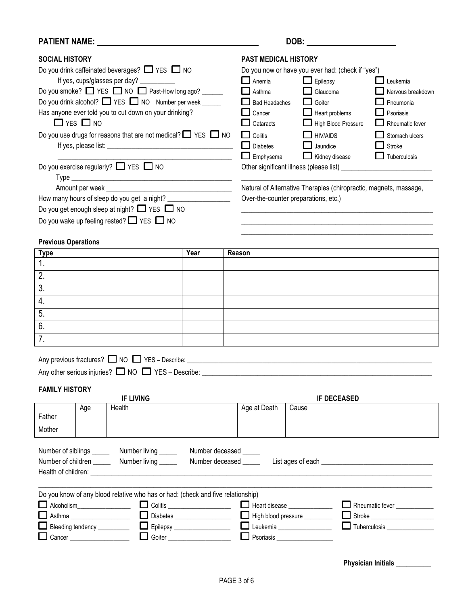### **PATIENT NAME:** DOB:

| <b>SOCIAL HISTORY</b>                    |                                                                                |                                                                                 |                                |                       | <b>PAST MEDICAL HISTORY</b>                                  |                                      |                    |                                                                   |  |
|------------------------------------------|--------------------------------------------------------------------------------|---------------------------------------------------------------------------------|--------------------------------|-----------------------|--------------------------------------------------------------|--------------------------------------|--------------------|-------------------------------------------------------------------|--|
|                                          |                                                                                | Do you drink caffeinated beverages? $\Box$ YES $\Box$ NO                        |                                |                       | Do you now or have you ever had: (check if "yes")            |                                      |                    |                                                                   |  |
| If yes, cups/glasses per day? __________ |                                                                                | $\Box$ Anemia                                                                   | $\Box$ Epilepsy                |                       | $\Box$ Leukemia                                              |                                      |                    |                                                                   |  |
|                                          | Do you smoke? $\Box$ YES $\Box$ NO $\Box$ Past-How long ago? _____             |                                                                                 | Asthma                         | Glaucoma              |                                                              | Nervous breakdown                    |                    |                                                                   |  |
|                                          |                                                                                | Do you drink alcohol? VES NO Number per week _____                              |                                |                       | <b>Bad Headaches</b>                                         | Goiter<br><b>Tarat</b>               |                    | Pneumonia                                                         |  |
|                                          | Has anyone ever told you to cut down on your drinking?<br>$\Box$ YES $\Box$ NO |                                                                                 | Cancer<br>Cataracts            | $\Box$ Heart problems | High Blood Pressure                                          | Psoriasis<br>Rheumatic fever         |                    |                                                                   |  |
|                                          |                                                                                | Do you use drugs for reasons that are not medical? $\Box$ YES $\Box$ NO         |                                |                       | Colitis<br><b>Diabetes</b>                                   | $\Box$ HIV/AIDS<br>$\Box$ Jaundice   |                    | Stomach ulcers<br>Stroke                                          |  |
|                                          |                                                                                |                                                                                 |                                |                       | Emphysema                                                    | Kidney disease                       |                    | Tuberculosis                                                      |  |
|                                          |                                                                                | Do you exercise regularly? $\Box$ YES $\Box$ NO                                 |                                |                       |                                                              |                                      |                    |                                                                   |  |
|                                          |                                                                                |                                                                                 |                                |                       |                                                              |                                      |                    | Natural of Alternative Therapies (chiropractic, magnets, massage, |  |
|                                          |                                                                                | How many hours of sleep do you get a night?                                     |                                |                       |                                                              | Over-the-counter preparations, etc.) |                    |                                                                   |  |
|                                          |                                                                                | Do you get enough sleep at night? $\Box$ YES $\Box$ NO                          |                                |                       |                                                              |                                      |                    |                                                                   |  |
|                                          |                                                                                | Do you wake up feeling rested? $\Box$ YES $\Box$ NO                             |                                |                       |                                                              |                                      |                    |                                                                   |  |
|                                          |                                                                                |                                                                                 |                                |                       |                                                              |                                      |                    |                                                                   |  |
| <b>Previous Operations</b>               |                                                                                |                                                                                 |                                |                       |                                                              |                                      |                    |                                                                   |  |
| <b>Type</b>                              |                                                                                |                                                                                 | Year                           |                       | Reason                                                       |                                      |                    |                                                                   |  |
| 1.                                       |                                                                                |                                                                                 |                                |                       |                                                              |                                      |                    |                                                                   |  |
| 2.                                       |                                                                                |                                                                                 |                                |                       |                                                              |                                      |                    |                                                                   |  |
| 3.                                       |                                                                                |                                                                                 |                                |                       |                                                              |                                      |                    |                                                                   |  |
| 4.                                       |                                                                                |                                                                                 |                                |                       |                                                              |                                      |                    |                                                                   |  |
|                                          |                                                                                |                                                                                 |                                |                       |                                                              |                                      |                    |                                                                   |  |
| 5.                                       |                                                                                |                                                                                 |                                |                       |                                                              |                                      |                    |                                                                   |  |
| 6.                                       |                                                                                |                                                                                 |                                |                       |                                                              |                                      |                    |                                                                   |  |
| 7.                                       |                                                                                |                                                                                 |                                |                       |                                                              |                                      |                    |                                                                   |  |
|                                          |                                                                                |                                                                                 |                                |                       |                                                              |                                      |                    |                                                                   |  |
|                                          |                                                                                | Any previous fractures? $\Box$ NO $\Box$ YES - Describe:                        |                                |                       |                                                              |                                      |                    |                                                                   |  |
|                                          |                                                                                | Any other serious injuries? $\square$ NO $\square$ YES - Describe: $\_\_$       |                                |                       |                                                              |                                      |                    |                                                                   |  |
| <b>FAMILY HISTORY</b>                    |                                                                                |                                                                                 |                                |                       |                                                              |                                      |                    |                                                                   |  |
|                                          |                                                                                | <b>IF LIVING</b>                                                                |                                |                       |                                                              |                                      | <b>IF DECEASED</b> |                                                                   |  |
|                                          | Age                                                                            | Health                                                                          |                                |                       | Age at Death                                                 | Cause                                |                    |                                                                   |  |
| Father                                   |                                                                                |                                                                                 |                                |                       |                                                              |                                      |                    |                                                                   |  |
| Mother                                   |                                                                                |                                                                                 |                                |                       |                                                              |                                      |                    |                                                                   |  |
|                                          |                                                                                |                                                                                 |                                |                       |                                                              |                                      |                    |                                                                   |  |
| Number of siblings ______                |                                                                                | Number living _____                                                             | Number deceased _____          |                       |                                                              |                                      |                    |                                                                   |  |
| Number of children _____                 |                                                                                | Number living _____                                                             |                                |                       | Number deceased                                              |                                      |                    |                                                                   |  |
|                                          |                                                                                |                                                                                 |                                |                       |                                                              |                                      |                    |                                                                   |  |
|                                          |                                                                                |                                                                                 |                                |                       |                                                              |                                      |                    |                                                                   |  |
|                                          |                                                                                | Do you know of any blood relative who has or had: (check and five relationship) |                                |                       |                                                              |                                      |                    |                                                                   |  |
|                                          |                                                                                | Alcoholism<br><u> Colitis</u> <u> Colitis</u> <u> Colitis</u>                   |                                |                       | $\Box$ Heart disease $\Box$                                  |                                      |                    | Rheumatic fever ___________                                       |  |
|                                          |                                                                                | $\Box$<br>Asthma _________________________                                      | Diabetes _____________________ |                       | High blood pressure _________<br>Leukemia __________________ |                                      |                    |                                                                   |  |
|                                          |                                                                                | Cancer _______________________                                                  | Goiter ____________________    |                       | Psoriasis ___________________                                |                                      |                    | Tuberculosis                                                      |  |
|                                          |                                                                                |                                                                                 |                                |                       |                                                              |                                      |                    |                                                                   |  |
|                                          |                                                                                |                                                                                 |                                |                       |                                                              |                                      |                    |                                                                   |  |
|                                          |                                                                                |                                                                                 |                                |                       |                                                              |                                      |                    | Physician Initials __________                                     |  |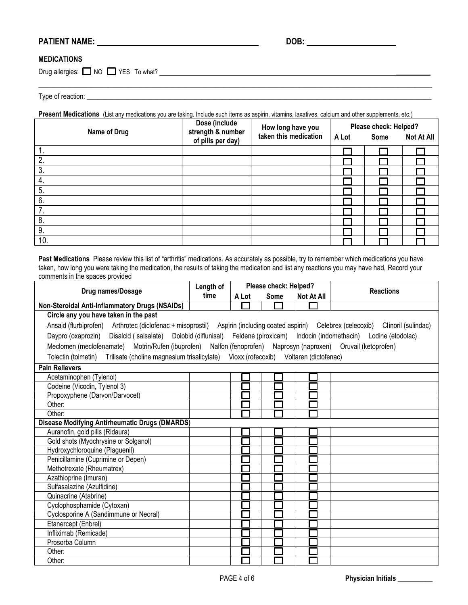# **PATIENT NAME: DOB:**

#### **MEDICATIONS**

Drug allergies:  $\Box$  NO  $\Box$  YES To what?  $\Box$ 

Type of reaction: \_\_\_\_\_\_\_\_\_\_\_\_\_\_\_\_\_\_\_\_\_\_\_\_\_\_\_\_\_\_\_\_\_\_\_\_\_\_\_\_\_\_\_\_\_\_\_\_\_\_\_\_\_\_\_\_\_\_\_\_\_\_\_\_\_\_\_\_\_\_\_\_\_\_\_\_\_\_\_\_\_\_\_\_\_\_\_\_\_\_\_\_\_\_\_\_\_\_\_

|  |  |  |  | Present Medications (List any medications you are taking. Include such items as aspirin, vitamins, laxatives, calcium and other supplements, etc.) |
|--|--|--|--|----------------------------------------------------------------------------------------------------------------------------------------------------|
|--|--|--|--|----------------------------------------------------------------------------------------------------------------------------------------------------|

\_\_\_\_\_\_\_\_\_\_\_\_\_\_\_\_\_\_\_\_\_\_\_\_\_\_\_\_\_\_\_\_\_\_\_\_\_\_\_\_\_\_\_\_\_\_\_\_\_\_\_\_\_\_\_\_\_\_\_\_\_\_\_\_\_\_\_\_\_\_\_\_\_\_\_\_\_\_\_\_\_\_\_\_\_\_\_\_\_\_\_\_\_\_\_\_\_\_\_\_\_\_\_\_\_\_\_\_\_\_\_\_\_

|     | Dose (include<br>How long have you<br>strength & number<br>Name of Drug<br>taken this medication<br>of pills per day) |       | Please check: Helped? |                   |  |  |
|-----|-----------------------------------------------------------------------------------------------------------------------|-------|-----------------------|-------------------|--|--|
|     |                                                                                                                       | A Lot | <b>Some</b>           | <b>Not At All</b> |  |  |
|     |                                                                                                                       |       |                       |                   |  |  |
| 2.  |                                                                                                                       |       |                       |                   |  |  |
| 3.  |                                                                                                                       |       |                       |                   |  |  |
| 4.  |                                                                                                                       |       |                       |                   |  |  |
| 5.  |                                                                                                                       |       |                       |                   |  |  |
| 6.  |                                                                                                                       |       |                       |                   |  |  |
| 7.  |                                                                                                                       |       |                       |                   |  |  |
| 8.  |                                                                                                                       |       |                       |                   |  |  |
| 9.  |                                                                                                                       |       |                       |                   |  |  |
| 10. |                                                                                                                       |       |                       |                   |  |  |

**Past Medications** Please review this list of "arthritis" medications. As accurately as possible, try to remember which medications you have taken, how long you were taking the medication, the results of taking the medication and list any reactions you may have had, Record your comments in the spaces provided

| Drug names/Dosage                                                                                                                      | Length of | Please check: Helped? |             |                   | <b>Reactions</b> |
|----------------------------------------------------------------------------------------------------------------------------------------|-----------|-----------------------|-------------|-------------------|------------------|
|                                                                                                                                        | time      | A Lot                 | <b>Some</b> | <b>Not At All</b> |                  |
| Non-Steroidal Anti-Inflammatory Drugs (NSAIDs)                                                                                         |           |                       |             |                   |                  |
| Circle any you have taken in the past                                                                                                  |           |                       |             |                   |                  |
| Ansaid (flurbiprofen) Arthrotec (diclofenac + misoprostil) Aspirin (including coated aspirin) Celebrex (celecoxib) Clinoril (sulindac) |           |                       |             |                   |                  |
| Daypro (oxaprozin) Disalcid (salsalate) Dolobid (diflunisal) Feldene (piroxicam) Indocin (indomethacin) Lodine (etodolac)              |           |                       |             |                   |                  |
| Meclomen (meclofenamate) Motrin/Rufen (ibuprofen) Nalfon (fenoprofen) Naprosyn (naproxen) Oruvail (ketoprofen)                         |           |                       |             |                   |                  |
| Tolectin (tolmetin) Trilisate (choline magnesium trisalicylate) Vioxx (rofecoxib) Voltaren (dictofenac)                                |           |                       |             |                   |                  |
| <b>Pain Relievers</b>                                                                                                                  |           |                       |             |                   |                  |
| Acetaminophen (Tylenol)                                                                                                                |           |                       |             |                   |                  |
| Codeine (Vicodin, Tylenol 3)                                                                                                           |           |                       |             |                   |                  |
| Propoxyphene (Darvon/Darvocet)                                                                                                         |           |                       |             |                   |                  |
| Other:                                                                                                                                 |           |                       |             |                   |                  |
| Other:                                                                                                                                 |           |                       |             |                   |                  |
| <b>Disease Modifying Antirheumatic Drugs (DMARDS)</b>                                                                                  |           |                       |             |                   |                  |
| Auranofin, gold pills (Ridaura)                                                                                                        |           |                       |             |                   |                  |
| Gold shots (Myochrysine or Solganol)                                                                                                   |           |                       |             |                   |                  |
| Hydroxychloroquine (Plaguenil)                                                                                                         |           |                       |             |                   |                  |
| Penicillamine (Cuprimine or Depen)                                                                                                     |           |                       |             |                   |                  |
| Methotrexate (Rheumatrex)                                                                                                              |           |                       |             |                   |                  |
| Azathioprine (Imuran)                                                                                                                  |           |                       |             |                   |                  |
| Sulfasalazine (Azulfidine)                                                                                                             |           |                       |             |                   |                  |
| Quinacrine (Atabrine)                                                                                                                  |           |                       |             |                   |                  |
| Cyclophosphamide (Cytoxan)                                                                                                             |           |                       |             |                   |                  |
| Cyclosporine A (Sandimmune or Neoral)                                                                                                  |           |                       |             |                   |                  |
| Etanercept (Enbrel)                                                                                                                    |           |                       |             |                   |                  |
| Infliximab (Remicade)                                                                                                                  |           |                       |             |                   |                  |
| Prosorba Column                                                                                                                        |           |                       |             |                   |                  |
| Other:                                                                                                                                 |           |                       |             |                   |                  |
| Other:                                                                                                                                 |           |                       |             |                   |                  |

**PAGE 4 of 6 <b>Physician Initials** \_\_\_\_\_\_\_\_\_\_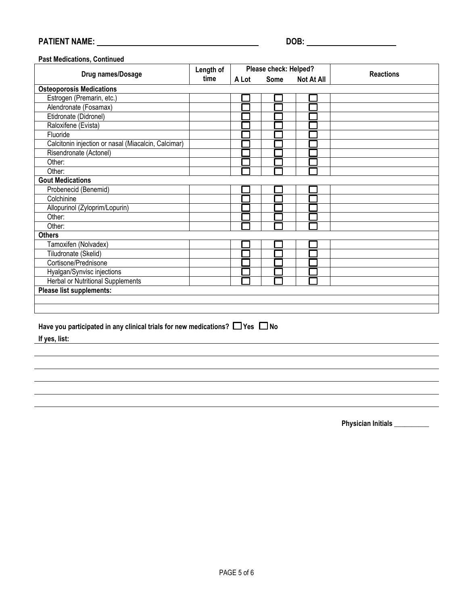# **PATIENT NAME: DOB:**

#### **Past Medications, Continued**

| Drug names/Dosage                                   | Length of | Please check: Helped? |             |                   | <b>Reactions</b> |
|-----------------------------------------------------|-----------|-----------------------|-------------|-------------------|------------------|
|                                                     | time      | A Lot                 | <b>Some</b> | <b>Not At All</b> |                  |
| <b>Osteoporosis Medications</b>                     |           |                       |             |                   |                  |
| Estrogen (Premarin, etc.)                           |           |                       |             |                   |                  |
| Alendronate (Fosamax)                               |           |                       |             |                   |                  |
| Etidronate (Didronel)                               |           |                       |             |                   |                  |
| Raloxifene (Evista)                                 |           |                       |             |                   |                  |
| Fluoride                                            |           |                       |             |                   |                  |
| Calcitonin injection or nasal (Miacalcin, Calcimar) |           |                       |             |                   |                  |
| Risendronate (Actonel)                              |           |                       |             |                   |                  |
| Other:                                              |           |                       |             |                   |                  |
| Other:                                              |           |                       |             |                   |                  |
| <b>Gout Medications</b>                             |           |                       |             |                   |                  |
| Probenecid (Benemid)                                |           |                       |             |                   |                  |
| Colchinine                                          |           |                       |             |                   |                  |
| Allopurinol (Zyloprim/Lopurin)                      |           |                       |             |                   |                  |
| Other:                                              |           |                       |             |                   |                  |
| Other:                                              |           |                       |             |                   |                  |
| <b>Others</b>                                       |           |                       |             |                   |                  |
| Tamoxifen (Nolvadex)                                |           |                       |             |                   |                  |
| Tiludronate (Skelid)                                |           |                       |             |                   |                  |
| Cortisone/Prednisone                                |           |                       |             |                   |                  |
| Hyalgan/Synvisc injections                          |           |                       |             |                   |                  |
| <b>Herbal or Nutritional Supplements</b>            |           |                       |             |                   |                  |
| Please list supplements:                            |           |                       |             |                   |                  |
|                                                     |           |                       |             |                   |                  |
|                                                     |           |                       |             |                   |                  |

### Have you participated in any clinical trials for new medications?  $\Box$  Yes  $\Box$  No

**If yes, list:**

 **Physician Initials \_\_\_\_\_\_\_\_\_\_**